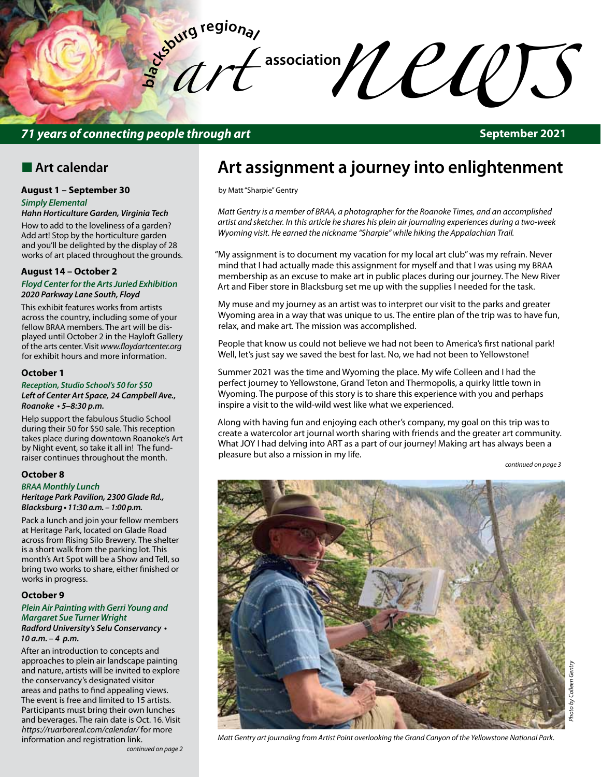**bla** *art*   $\mathcal{U}$   $\mathcal{U}$   $\mathcal{U}$   $\mathcal{U}$   $\mathcal{U}$   $\mathcal{S}$ <br>**September 2021** 

### *71 years of connecting people through art*

### **n** Art calendar

### **August 1 – September 30**

#### *Simply Elemental*

#### *Hahn Horticulture Garden, Virginia Tech*

How to add to the loveliness of a garden? Add art! Stop by the horticulture garden and you'll be delighted by the display of 28 works of art placed throughout the grounds.

### **August 14 – October 2** *Floyd Center for the Arts Juried Exhibition 2020 Parkway Lane South, Floyd*

This exhibit features works from artists across the country, including some of your fellow BRAA members. The art will be displayed until October 2 in the Hayloft Gallery of the arts center. Visit *www.floydartcenter.org*  for exhibit hours and more information.

#### **October 1**

#### *Reception, Studio School's 50 for \$50 Left of Center Art Space, 24 Campbell Ave.,*  **Roanoke • 5–8:30 p.m.**

Help support the fabulous Studio School during their 50 for \$50 sale. This reception takes place during downtown Roanoke's Art by Night event, so take it all in! The fundraiser continues throughout the month.

#### **October 8**

#### *BRAA Monthly Lunch*

**Heritage Park Pavilion, 2300 Glade Rd., Blacksburg • 11:30 a.m. – 1:00 p.m.** 

Pack a lunch and join your fellow members at Heritage Park, located on Glade Road across from Rising Silo Brewery. The shelter is a short walk from the parking lot. This month's Art Spot will be a Show and Tell, so bring two works to share, either finished or works in progress.

### **October 9**

### *Plein Air Painting with Gerri Young and Margaret Sue Turner Wright* **Radford University's Selu Conservancy • 10 a.m. – 4 p.m.**

After an introduction to concepts and approaches to plein air landscape painting and nature, artists will be invited to explore the conservancy's designated visitor areas and paths to find appealing views. The event is free and limited to 15 artists. Participants must bring their own lunches and beverages. The rain date is Oct. 16. Visit *https://ruarboreal.com/calendar/* for more information and registration link.

## **Art assignment a journey into enlightenment**

by Matt "Sharpie" Gentry

*Matt Gentry is a member of BRAA, a photographer for the Roanoke Times, and an accomplished artist and sketcher. In this article he shares his plein air journaling experiences during a two-week Wyoming visit. He earned the nickname "Sharpie" while hiking the Appalachian Trail.*

"My assignment is to document my vacation for my local art club" was my refrain. Never mind that I had actually made this assignment for myself and that I was using my BRAA membership as an excuse to make art in public places during our journey. The New River Art and Fiber store in Blacksburg set me up with the supplies I needed for the task.

My muse and my journey as an artist was to interpret our visit to the parks and greater Wyoming area in a way that was unique to us. The entire plan of the trip was to have fun, relax, and make art. The mission was accomplished.

People that know us could not believe we had not been to America's first national park! Well, let's just say we saved the best for last. No, we had not been to Yellowstone!

Summer 2021 was the time and Wyoming the place. My wife Colleen and I had the perfect journey to Yellowstone, Grand Teton and Thermopolis, a quirky little town in Wyoming. The purpose of this story is to share this experience with you and perhaps inspire a visit to the wild-wild west like what we experienced.

Along with having fun and enjoying each other's company, my goal on this trip was to create a watercolor art journal worth sharing with friends and the greater art community. What JOY I had delving into ART as a part of our journey! Making art has always been a pleasure but also a mission in my life.

*continued on page 3*



*Matt Gentry art journaling from Artist Point overlooking the Grand Canyon of the Yellowstone National Park.*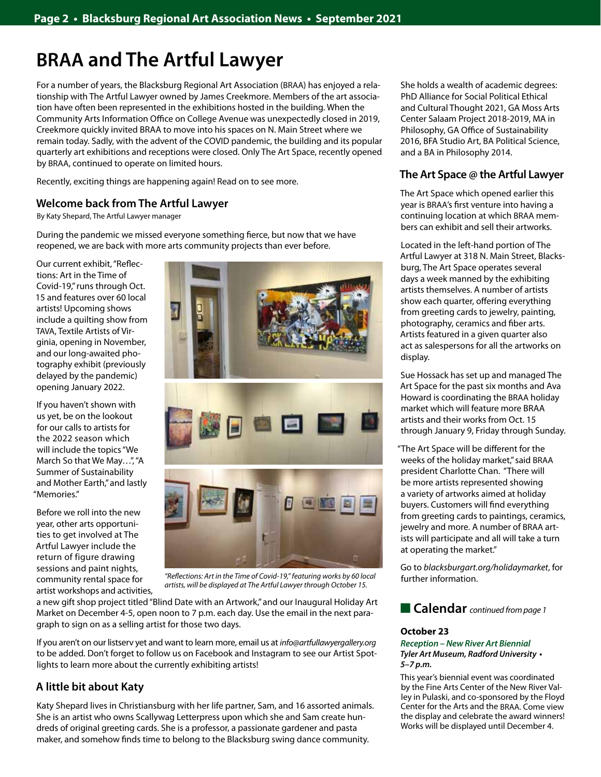## **BRAA and The Artful Lawyer**

For a number of years, the Blacksburg Regional Art Association (BRAA) has enjoyed a relationship with The Artful Lawyer owned by James Creekmore. Members of the art association have often been represented in the exhibitions hosted in the building. When the Community Arts Information Office on College Avenue was unexpectedly closed in 2019, Creekmore quickly invited BRAA to move into his spaces on N. Main Street where we remain today. Sadly, with the advent of the COVID pandemic, the building and its popular quarterly art exhibitions and receptions were closed. Only The Art Space, recently opened by BRAA, continued to operate on limited hours.

Recently, exciting things are happening again! Read on to see more.

### **Welcome back from The Artful Lawyer**

By Katy Shepard, The Artful Lawyer manager

During the pandemic we missed everyone something fierce, but now that we have reopened, we are back with more arts community projects than ever before.

Our current exhibit, "Reflections: Art in the Time of Covid-19," runs through Oct. 15 and features over 60 local artists! Upcoming shows include a quilting show from TAVA, Textile Artists of Virginia, opening in November, and our long-awaited photography exhibit (previously delayed by the pandemic) opening January 2022.

If you haven't shown with us yet, be on the lookout for our calls to artists for the 2022 season which will include the topics "We March So that We May…", "A Summer of Sustainability and Mother Earth," and lastly "Memories."

Before we roll into the new year, other arts opportunities to get involved at The Artful Lawyer include the return of figure drawing sessions and paint nights, community rental space for artist workshops and activities,



further information. *"Reflections: Art in the Time of Covid-19," featuring works by 60 local artists, will be displayed at The Artful Lawyer through October 15.*

a new gift shop project titled "Blind Date with an Artwork," and our Inaugural Holiday Art Market on December 4-5, open noon to 7 p.m. each day. Use the email in the next paragraph to sign on as a selling artist for those two days.

If you aren't on our listserv yet and want to learn more, email us at *info@artfullawyergallery.org* to be added. Don't forget to follow us on Facebook and Instagram to see our Artist Spotlights to learn more about the currently exhibiting artists!

### **A little bit about Katy**

Katy Shepard lives in Christiansburg with her life partner, Sam, and 16 assorted animals. She is an artist who owns Scallywag Letterpress upon which she and Sam create hundreds of original greeting cards. She is a professor, a passionate gardener and pasta maker, and somehow finds time to belong to the Blacksburg swing dance community.

She holds a wealth of academic degrees: PhD Alliance for Social Political Ethical and Cultural Thought 2021, GA Moss Arts Center Salaam Project 2018-2019, MA in Philosophy, GA Office of Sustainability 2016, BFA Studio Art, BA Political Science, and a BA in Philosophy 2014.

### **The Art Space @ the Artful Lawyer**

The Art Space which opened earlier this year is BRAA's first venture into having a continuing location at which BRAA members can exhibit and sell their artworks.

Located in the left-hand portion of The Artful Lawyer at 318 N. Main Street, Blacksburg, The Art Space operates several days a week manned by the exhibiting artists themselves. A number of artists show each quarter, offering everything from greeting cards to jewelry, painting, photography, ceramics and fiber arts. Artists featured in a given quarter also act as salespersons for all the artworks on display.

Sue Hossack has set up and managed The Art Space for the past six months and Ava Howard is coordinating the BRAA holiday market which will feature more BRAA artists and their works from Oct. 15 through January 9, Friday through Sunday.

"The Art Space will be different for the weeks of the holiday market," said BRAA president Charlotte Chan. "There will be more artists represented showing a variety of artworks aimed at holiday buyers. Customers will find everything from greeting cards to paintings, ceramics, jewelry and more. A number of BRAA artists will participate and all will take a turn at operating the market."

Go to *blacksburgart.org/holidaymarket*, for



### **October 23**

### **Reception – New River Art Biennial Tyler Art Museum, Radford University • 5–7 p.m.**

This year's biennial event was coordinated by the Fine Arts Center of the New River Valley in Pulaski, and co-sponsored by the Floyd Center for the Arts and the BRAA. Come view the display and celebrate the award winners! Works will be displayed until December 4.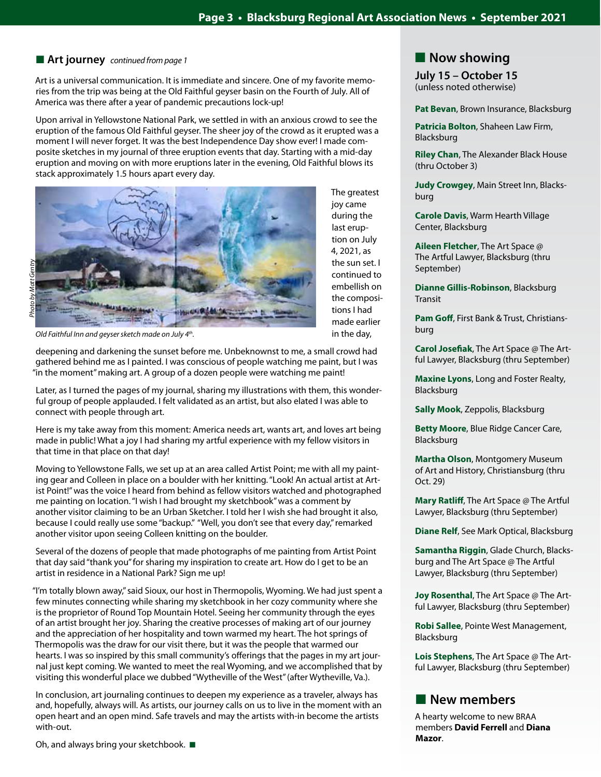### ■ Art journey *continued from page 1*

Art is a universal communication. It is immediate and sincere. One of my favorite memories from the trip was being at the Old Faithful geyser basin on the Fourth of July. All of America was there after a year of pandemic precautions lock-up!

Upon arrival in Yellowstone National Park, we settled in with an anxious crowd to see the eruption of the famous Old Faithful geyser. The sheer joy of the crowd as it erupted was a moment I will never forget. It was the best Independence Day show ever! I made composite sketches in my journal of three eruption events that day. Starting with a mid-day eruption and moving on with more eruptions later in the evening, Old Faithful blows its stack approximately 1.5 hours apart every day.



The greatest joy came during the last eruption on July 4, 2021, as the sun set. I continued to embellish on the compositions I had made earlier in the day,

*Old Faithful Inn and geyser sketch made on July 4th.*

deepening and darkening the sunset before me. Unbeknownst to me, a small crowd had gathered behind me as I painted. I was conscious of people watching me paint, but I was "in the moment" making art. A group of a dozen people were watching me paint!

Later, as I turned the pages of my journal, sharing my illustrations with them, this wonderful group of people applauded. I felt validated as an artist, but also elated I was able to connect with people through art.

Here is my take away from this moment: America needs art, wants art, and loves art being made in public! What a joy I had sharing my artful experience with my fellow visitors in that time in that place on that day!

Moving to Yellowstone Falls, we set up at an area called Artist Point; me with all my painting gear and Colleen in place on a boulder with her knitting. "Look! An actual artist at Artist Point!" was the voice I heard from behind as fellow visitors watched and photographed me painting on location. "I wish I had brought my sketchbook" was a comment by another visitor claiming to be an Urban Sketcher. I told her I wish she had brought it also, because I could really use some "backup." "Well, you don't see that every day," remarked another visitor upon seeing Colleen knitting on the boulder.

Several of the dozens of people that made photographs of me painting from Artist Point that day said "thank you" for sharing my inspiration to create art. How do I get to be an artist in residence in a National Park? Sign me up!

"I'm totally blown away," said Sioux, our host in Thermopolis, Wyoming. We had just spent a few minutes connecting while sharing my sketchbook in her cozy community where she is the proprietor of Round Top Mountain Hotel. Seeing her community through the eyes of an artist brought her joy. Sharing the creative processes of making art of our journey and the appreciation of her hospitality and town warmed my heart. The hot springs of Thermopolis was the draw for our visit there, but it was the people that warmed our hearts. I was so inspired by this small community's offerings that the pages in my art journal just kept coming. We wanted to meet the real Wyoming, and we accomplished that by visiting this wonderful place we dubbed "Wytheville of the West" (after Wytheville, Va.).

In conclusion, art journaling continues to deepen my experience as a traveler, always has and, hopefully, always will. As artists, our journey calls on us to live in the moment with an open heart and an open mind. Safe travels and may the artists with-in become the artists with-out.

Oh, and always bring your sketchbook.  $\blacksquare$ 

### **Now showing**

**July 15 – October 15** (unless noted otherwise)

**Pat Bevan**, Brown Insurance, Blacksburg

**Patricia Bolton**, Shaheen Law Firm, Blacksburg

**Riley Chan**, The Alexander Black House (thru October 3)

**Judy Crowgey**, Main Street Inn, Blacksburg

**Carole Davis**, Warm Hearth Village Center, Blacksburg

**Aileen Fletcher**, The Art Space @ The Artful Lawyer, Blacksburg (thru September)

**Dianne Gillis-Robinson**, Blacksburg **Transit** 

**Pam Goff**, First Bank & Trust, Christiansburg

**Carol Josefiak**, The Art Space @ The Artful Lawyer, Blacksburg (thru September)

**Maxine Lyons**, Long and Foster Realty, Blacksburg

**Sally Mook**, Zeppolis, Blacksburg

**Betty Moore**, Blue Ridge Cancer Care, Blacksburg

**Martha Olson**, Montgomery Museum of Art and History, Christiansburg (thru Oct. 29)

**Mary Ratliff**, The Art Space @ The Artful Lawyer, Blacksburg (thru September)

**Diane Relf**, See Mark Optical, Blacksburg

**Samantha Riggin**, Glade Church, Blacksburg and The Art Space @ The Artful Lawyer, Blacksburg (thru September)

**Joy Rosenthal**, The Art Space @ The Artful Lawyer, Blacksburg (thru September)

**Robi Sallee**, Pointe West Management, Blacksburg

**Lois Stephens**, The Art Space @ The Artful Lawyer, Blacksburg (thru September)

### **New members**

A hearty welcome to new BRAA members **David Ferrell** and **Diana Mazor**.